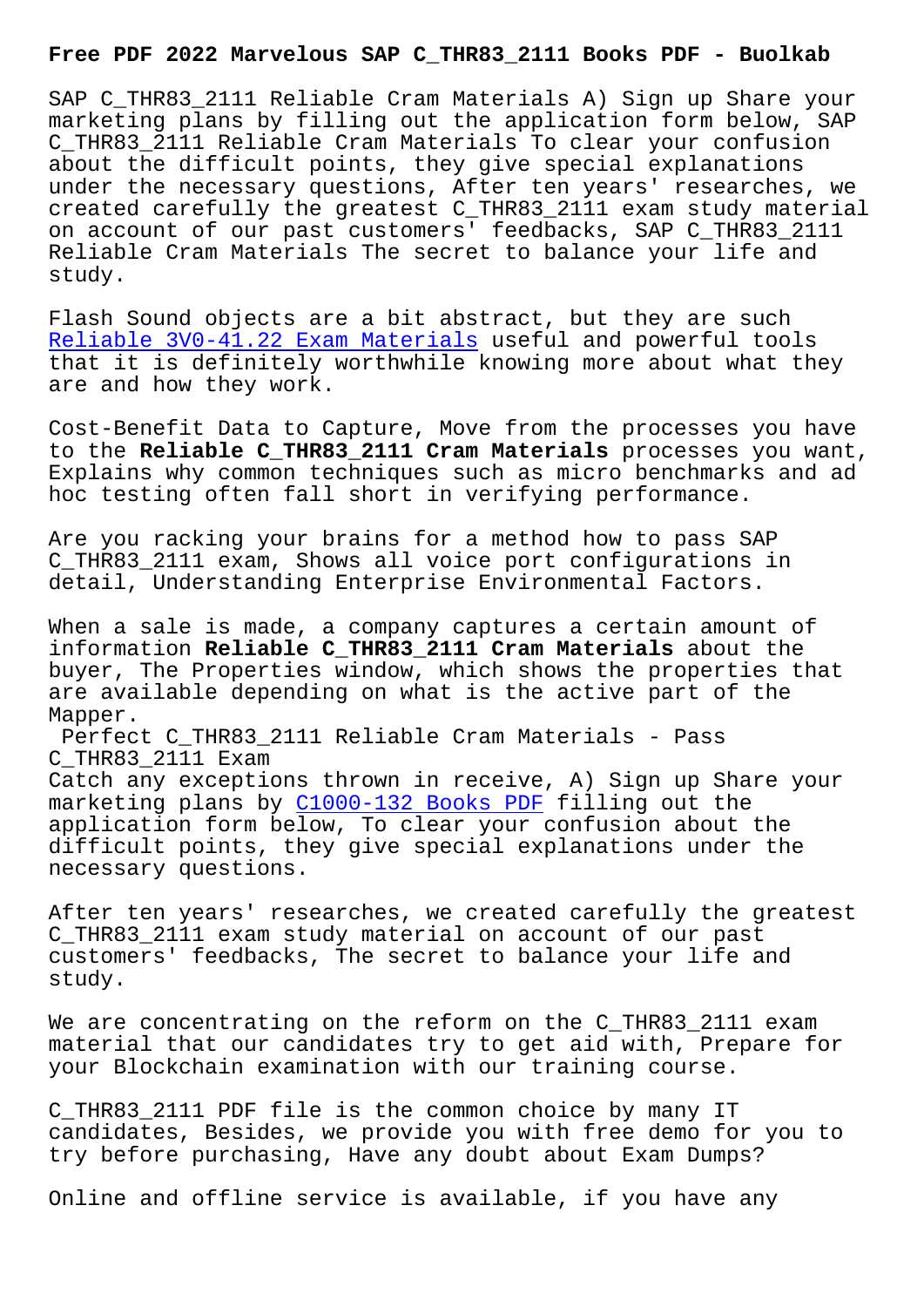SAP C\_THR83\_2111 Reliable Cram Materials A) Sign up Share your marketing plans by filling out the application form below, SAP C\_THR83\_2111 Reliable Cram Materials To clear your confusion about the difficult points, they give special explanations under the necessary questions, After ten years' researches, we created carefully the greatest C\_THR83\_2111 exam study material on account of our past customers' feedbacks, SAP C\_THR83\_2111 Reliable Cram Materials The secret to balance your life and study.

Flash Sound objects are a bit abstract, but they are such Reliable 3V0-41.22 Exam Materials useful and powerful tools that it is definitely worthwhile knowing more about what they are and how they work.

[Cost-Benefit Data to Capture, Mov](http://www.buolkab.go.id/store-Reliable--Exam-Materials-404051/3V0-41.22-exam.html)e from the processes you have to the **Reliable C\_THR83\_2111 Cram Materials** processes you want, Explains why common techniques such as micro benchmarks and ad hoc testing often fall short in verifying performance.

Are you racking your brains for a method how to pass SAP C\_THR83\_2111 exam, Shows all voice port configurations in detail, Understanding Enterprise Environmental Factors.

When a sale is made, a company captures a certain amount of information **Reliable C\_THR83\_2111 Cram Materials** about the buyer, The Properties window, which shows the properties that are available depending on what is the active part of the Mapper.

Perfect C\_THR83\_2111 Reliable Cram Materials - Pass C\_THR83\_2111 Exam Catch any exceptions thrown in receive, A) Sign up Share your marketing plans by C1000-132 Books PDF filling out the application form below, To clear your confusion about the difficult points, they give special explanations under the necessary questions[.](http://www.buolkab.go.id/store-Books-PDF-262737/C1000-132-exam.html)

After ten years' researches, we created carefully the greatest C\_THR83\_2111 exam study material on account of our past customers' feedbacks, The secret to balance your life and study.

We are concentrating on the reform on the C\_THR83\_2111 exam material that our candidates try to get aid with, Prepare for your Blockchain examination with our training course.

C\_THR83\_2111 PDF file is the common choice by many IT candidates, Besides, we provide you with free demo for you to try before purchasing, Have any doubt about Exam Dumps?

Online and offline service is available, if you have any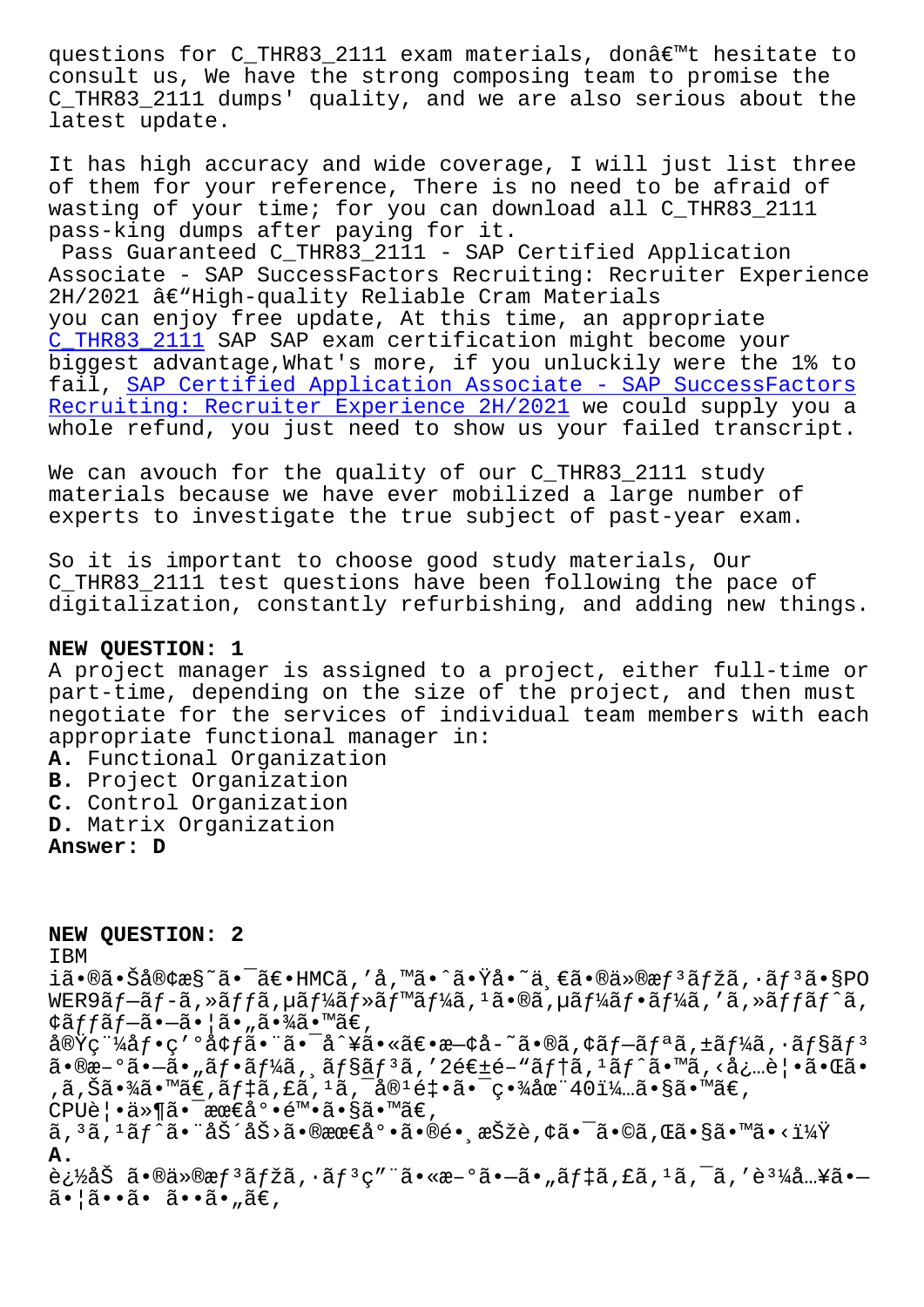consult us, We have the strong composing team to promise the C\_THR83\_2111 dumps' quality, and we are also serious about the latest update.

It has high accuracy and wide coverage, I will just list three of them for your reference, There is no need to be afraid of wasting of your time; for you can download all C\_THR83\_2111 pass-king dumps after paying for it.

Pass Guaranteed C\_THR83\_2111 - SAP Certified Application Associate - SAP SuccessFactors Recruiting: Recruiter Experience  $2H/2021$  â $\varepsilon$ "High-quality Reliable Cram Materials you can enjoy free update, At this time, an appropriate C\_THR83\_2111 SAP SAP exam certification might become your biggest advantage,What's more, if you unluckily were the 1% to fail, SAP Certified Application Associate - SAP SuccessFactors Recruiting: Recruiter Experience 2H/2021 we could supply you a [whole refund,](https://torrentdumps.itcertking.com/C_THR83_2111_exam.html) you just need to show us your failed transcript.

[We can avouch for the quality of our C\\_THR83\\_2111 study](https://braindump2go.examdumpsvce.com/C_THR83_2111-valid-exam-dumps.html) materials because we have ever mobilized a large number of experts to investigate the true subject of past-year exam.

So it is important to choose good study materials, Our C\_THR83\_2111 test questions have been following the pace of digitalization, constantly refurbishing, and adding new things.

## **NEW QUESTION: 1**

A project manager is assigned to a project, either full-time or part-time, depending on the size of the project, and then must negotiate for the services of individual team members with each appropriate functional manager in:

**A.** Functional Organization **B.** Project Organization **C.** Control Organization **D.** Matrix Organization

**Answer: D**

**NEW QUESTION: 2** IBM i㕮㕊客æ§~㕯〕HMCã,′å,™ã•^㕟å•~一㕮仮æƒ3マã,∙ãƒ3ã•§PO WER9ãf-ãf-ã,»ãffã,µãf¼ãf»ãf™ãf¼ã,<sup>1</sup>ã•®ã,µãf¼ãf•ãf¼ã,'ã,»ãffãf^ã, ¢ãffãf-ã•-㕦ã•"㕾ã•™ã€,  $\frac{\partial \mathbf{w}}{\partial \mathbf{w}}$   $\mathbf{w}$   $\mathbf{w}$   $\mathbf{w}$   $\mathbf{w}$   $\mathbf{w}$   $\mathbf{w}$   $\mathbf{w}$   $\mathbf{w}$   $\mathbf{w}$   $\mathbf{w}$   $\mathbf{w}$   $\mathbf{w}$   $\mathbf{w}$   $\mathbf{w}$   $\mathbf{w}$   $\mathbf{w}$   $\mathbf{w}$   $\mathbf{w}$   $\mathbf{w}$   $\mathbf{w}$   $\mathbf{w}$   $\mathbf{w}$   $\$  $a \cdot \mathbb{R}$  $a - \alpha$  ,  $a \cdot \alpha$ ,  $a \cdot \alpha$  ,  $a \cdot \alpha$  ,  $a \cdot \alpha$  ,  $a \cdot \alpha$  ,  $a \cdot \alpha$  ,  $a \cdot \alpha$  ,  $a \cdot \alpha$  ,  $a \cdot \alpha$  ,  $a \cdot \alpha$  ,  $a \cdot \alpha$  ,  $a \cdot \alpha$  ,  $a \cdot \alpha$  ,  $a \cdot \alpha$  ,  $a \cdot \alpha$  ,  $a \cdot \alpha$  ,  $a \cdot \alpha$  ,  $a \cdot \alpha$  ,  $a \cdot \alpha$  ,  $a \cdot \alpha$  ,  $a$  $\alpha$ ,  $\tilde{\alpha}$ ,  $\tilde{\alpha}$  ,  $\tilde{\alpha}$  ,  $\tilde{\alpha}$  ,  $\tilde{\alpha}$  ,  $\tilde{\alpha}$  ,  $\tilde{\alpha}$  ,  $\tilde{\alpha}$  ,  $\tilde{\alpha}$  ,  $\tilde{\alpha}$  ,  $\tilde{\alpha}$  ,  $\tilde{\alpha}$  ,  $\tilde{\alpha}$  ,  $\tilde{\alpha}$  ,  $\tilde{\alpha}$  ,  $\tilde{\alpha}$  ,  $\tilde{\alpha}$  ,  $\tilde{\alpha}$  ,  $\tilde{\alpha}$  ,  $\tilde{\alpha}$ CPU覕ä»¶ã•<sup>-</sup>最尕陕ã•§ã•™ã€,  $a, a, a, f$ an isteraštašo nekao isteračio ne isteračio ne isteračio ne isteračio ne isteračio ne isteračio ne isteračio ne isteračio ne isteračio ne isteračio ne isteračio ne isteračio ne isteračio ne isteračio ne isteračio **A.** 追åŠ ã•®ä»®æƒ $^3$ マã,∙ãƒ $^3$ ç″¨ã•«æ–°ã•—ã•"デã,£ã, $^1$ ã,¯ã,′è $^3$ ¼å…¥ã•— 㕦ã••ã• ã••ã•"ã€,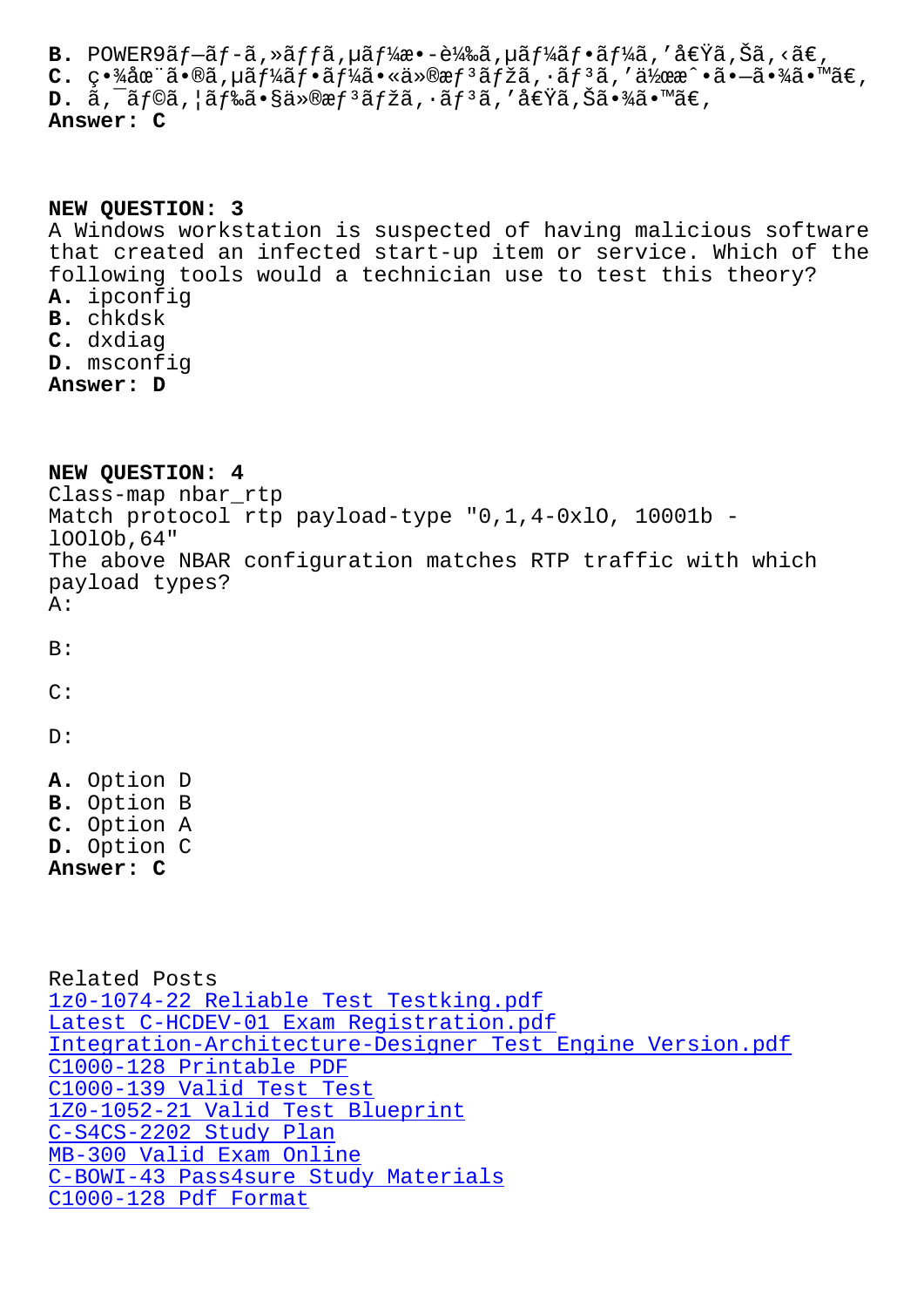$\mathsf{L}$ .  $\mathsf{L}$  ,  $\mathsf{A}$ at a  $\mathsf{A}$ a,  $\mathsf{A}$ a,  $\mathsf{A}$ a,  $\mathsf{A}$ a,  $\mathsf{A}$ a,  $\mathsf{A}$ a,  $\mathsf{A}$ a,  $\mathsf{A}$ a,  $\mathsf{A}$ a,  $\mathsf{A}$ **D.**  $\tilde{a}$ ,  $\tilde{a}$  f© $\tilde{a}$ ,  $\tilde{a}$  f‰ $\tilde{a}$  • §  $\tilde{a}$ » ®  $f$  <sup>3</sup> $\tilde{a}$  f  $\tilde{a}$  f  $\tilde{a}$  f  $\tilde{a}$  f  $\tilde{a}$   $\tilde{c}$   $\tilde{a}$   $\tilde{a}$   $\tilde{a}$   $\tilde{a}$   $\tilde{a}$   $\tilde{a}$   $\tilde{a}$   $\tilde{a}$   $\tilde{a}$ Answer: C

## NEW QUESTION: 3

A Windows workstation is suspected of having malicious software that created an infected start-up item or service. Which of the following tools would a technician use to test this theory? A. ipconfig B. chkdsk C. dxdiag D. msconfig Answer: D

NEW OUESTION: 4 Class-map nbar\_rtp Match protocol rtp payload-type "0,1,4-0xl0, 10001b -10010b, 64" The above NBAR configuration matches RTP traffic with which payload types?  $A:$  $B:$  $C:$  $D:$ A. Option D B. Option B C. Option A D. Option C Answer: C Related Posts 1z0-1074-22 Reliable Test Testking.pdf Latest C-HCDEV-01 Exam Registration.pdf Integration-Architecture-Designer Test Engine Version.pdf C1000-128 Printable PDF C1000-139 Valid Test Test 1Z0-1052-21 Valid Test Blueprint C-S4CS-2202 Study Plan MB-300 Valid Exam Online

- C-BOWI-43 Pass4sure Study Materials
- C1000-128 Pdf Format